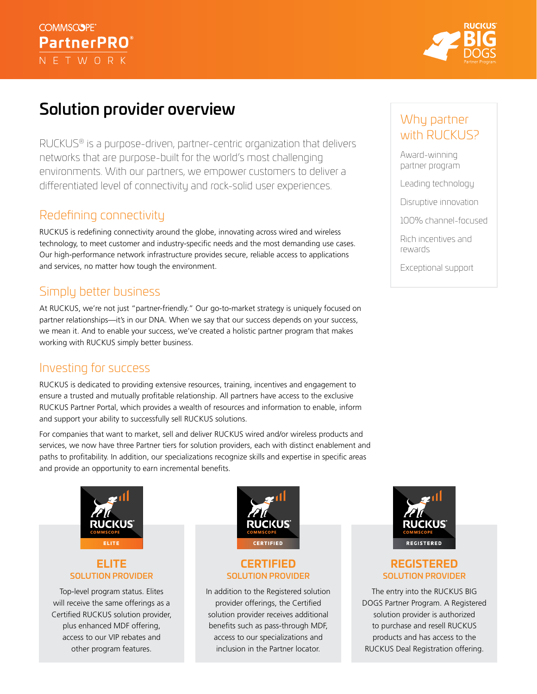### **COMMSCOPE PartnerPRO**® NETWORK



# Solution provider overview

RUCKUS® is a purpose-driven, partner-centric organization that delivers networks that are purpose-built for the world's most challenging environments. With our partners, we empower customers to deliver a differentiated level of connectivity and rock-solid user experiences.

### Redefining connectivity

RUCKUS is redefining connectivity around the globe, innovating across wired and wireless technology, to meet customer and industry-specific needs and the most demanding use cases. Our high-performance network infrastructure provides secure, reliable access to applications and services, no matter how tough the environment.

## Simply better business

At RUCKUS, we're not just "partner-friendly." Our go-to-market strategy is uniquely focused on partner relationships—it's in our DNA. When we say that our success depends on your success, we mean it. And to enable your success, we've created a holistic partner program that makes working with RUCKUS simply better business.

### Investing for success

RUCKUS is dedicated to providing extensive resources, training, incentives and engagement to ensure a trusted and mutually profitable relationship. All partners have access to the exclusive RUCKUS Partner Portal, which provides a wealth of resources and information to enable, inform and support your ability to successfully sell RUCKUS solutions.

For companies that want to market, sell and deliver RUCKUS wired and/or wireless products and services, we now have three Partner tiers for solution providers, each with distinct enablement and paths to profitability. In addition, our specializations recognize skills and expertise in specific areas and provide an opportunity to earn incremental benefits.



### **ELITE** SOLUTION PROVIDER

Top-level program status. Elites will receive the same offerings as a Certified RUCKUS solution provider, plus enhanced MDF offering, access to our VIP rebates and other program features.



#### **CERTIFIED** SOLUTION PROVIDER

In addition to the Registered solution provider offerings, the Certified solution provider receives additional benefits such as pass-through MDF, access to our specializations and inclusion in the Partner locator.

### Why partner with RUCKUS?

Award-winning partner program

Leading technology

Disruptive innovation

100% channel-focused

Rich incentives and rewards

Exceptional support



#### **REGISTERED**  SOLUTION PROVIDER

The entry into the RUCKUS BIG DOGS Partner Program. A Registered solution provider is authorized to purchase and resell RUCKUS products and has access to the RUCKUS Deal Registration offering.